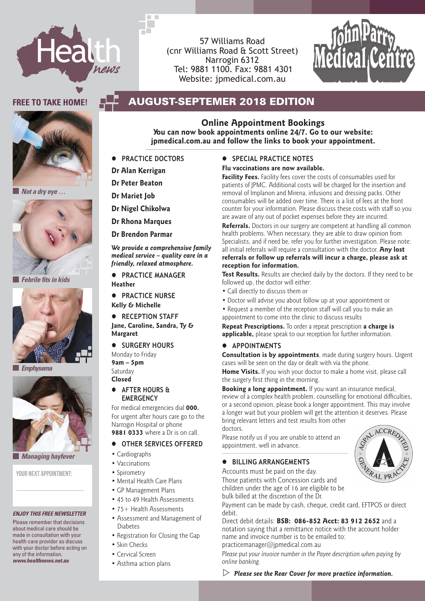

57 Williams Road (cnr Williams Road & Scott Street) Narrogin 6312 Tel: 9881 1100. Fax: 9881 4301 Website: jpmedical.com.au



### FREE TO TAKE HOME! **AUGUST-SEPTEMER 2018 EDITION**



 *Not a dry eye …*



 *Febrile fits in kids*



 *Emphysema*



 *Managing hayfever*

YOUR NEXT APPOINTMENT-

#### *ENJOY THIS FREE NEWSLETTER*

Please remember that decisions about medical care should be made in consultation with your health care provider so discuss with your doctor before acting on any of the information. *www.healthnews.net.au*

### **You can now book appointments online 24/7. Go to our website:**

**jpmedical.com.au and follow the links to book your appointment.**

**Online Appointment Bookings**

- **PRACTICE DOCTORS**
- **Dr Alan Kerrigan**
- **Dr Peter Beaton**
- **Dr Mariet Job**
- **Dr Nigel Chikolwa**

**Dr Rhona Marques**

**Dr Brendon Parmar**

*We provide a comprehensive family medical service – quality care in a friendly, relaxed atmosphere.*

**PRACTICE MANAGER** 

**Heather • PRACTICE NURSE** 

**Kelly & Michelle**

**Jane, Caroline, Sandra, Ty & Margaret**

 $\bullet$  SURGERY HOURS

Monday to Friday **9am – 5pm** Saturday **Closed**

For medical emergencies dial **000.**  For urgent after hours care go to the Narrogin Hospital or phone **9881 0333** where a Dr is on call.

### **Other services offered**

- Cardiographs
- Vaccinations
- Spirometry
- Mental Health Care Plans
- GP Management Plans
- 45 to 49 Health Assessments
- 75+ Health Assessments
- Assessment and Management of Diabetes
- Registration for Closing the Gap
- Skin Checks
- Cervical Screen
- Asthma action plans

### **SPECIAL PRACTICE NOTES**

### **Flu vaccinations are now available.**

**Facility Fees.** Facility fees cover the costs of consumables used for patients of JPMC. Additional costs will be charged for the insertion and removal of Implanon and Mirena, infusions and dressing packs. Other consumables will be added over time. There is a list of fees at the front counter for your information. Please discuss these costs with staff so you are aware of any out of pocket expenses before they are incurred.

**Referrals.** Doctors in our surgery are competent at handling all common health problems. When necessary, they are able to draw opinion from Specialists, and if need be, refer you for further investigation. Please note: all initial referrals will require a consultation with the doctor. **Any lost referrals or follow up referrals will incur a charge, please ask at reception for information.**

**Test Results.** Results are checked daily by the doctors. If they need to be followed up, the doctor will either:

- Call directly to discuss them or
- Doctor will advise you about follow up at your appointment or
- **RECEPTION STAFF** appointment to come into the clinic to discuss results • Request a member of the reception staff will call you to make an

**Repeat Prescriptions.** To order a repeat prescription **a charge is applicable,** please speak to our reception for further information.

#### **Appointments**

**Consultation is by appointments**, made during surgery hours. Urgent cases will be seen on the day or dealt with via the phone.

**Home Visits.** If you wish your doctor to make a home visit, please call the surgery first thing in the morning.

**AFTER HOURS & Booking a long appointment.** If you want an insurance medical, **ERGENCY EXECT EXECT FOR A COMPLEX FOR A COMPLEX EXECT FOR EXECT FOR EXECT FOR EXECTL** FOR **EXECTL** FOR EXECTL FOR EXECTL FOR EXECTLL EXECTLL EXECTLL EXAMPLEMENT FOR EXECTLL EXAMPLEMENT FOR EXAMPLEMENT FOR EXAMPLEMENT or a second opinion, please book a longer appointment. This may involve a longer wait but your problem will get the attention it deserves. Please bring relevant letters and test results from other doctors.

> Please notify us if you are unable to attend an appointment, well in advance.

### **Billing Arrangements**

Accounts must be paid on the day.

Those patients with Concession cards and children under the age of 16 are eligible to be

bulk billed at the discretion of the Dr.

Payment can be made by cash, cheque, credit card, EFTPOS or direct debit.

Direct debit details: **BSB: 086-852 Acct: 83 912 2652** and a notation saying that a remittance notice with the account holder name and invoice number is to be emailed to: practicemanager@jpmedical.com.au

*Please put your invoice number in the Payee description when paying by online banking.*

 $\triangleright$  Please see the Rear Cover for more practice information.

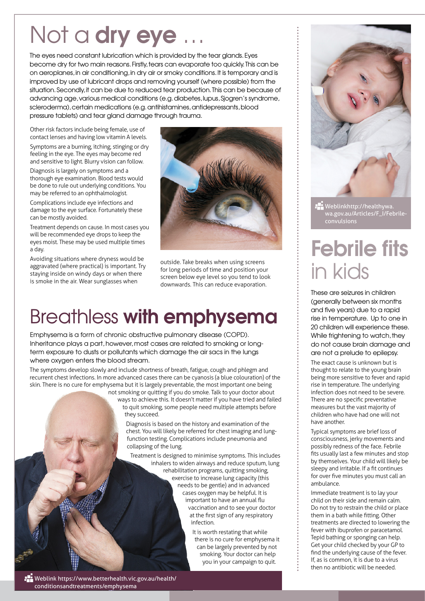# Not a **dry eye**

The eyes need constant lubrication which is provided by the tear glands. Eyes become dry for two main reasons. Firstly, tears can evaporate too quickly. This can be on aeroplanes, in air conditioning, in dry air or smoky conditions. It is temporary and is improved by use of lubricant drops and removing yourself (where possible) from the situation. Secondly, it can be due to reduced tear production. This can be because of advancing age, various medical conditions (e.g. diabetes, lupus, Sjogren's syndrome, scleroderma), certain medications (e.g. antihistamines, antidepressants, blood pressure tablets) and tear gland damage through trauma.

Other risk factors include being female, use of contact lenses and having low vitamin A levels.

Symptoms are a burning, itching, stinging or dry feeling in the eye. The eyes may become red and sensitive to light. Blurry vision can follow.

Diagnosis is largely on symptoms and a thorough eye examination. Blood tests would be done to rule out underlying conditions. You may be referred to an ophthalmologist.

Complications include eye infections and damage to the eye surface. Fortunately these can be mostly avoided.

Treatment depends on cause. In most cases you will be recommended eye drops to keep the eyes moist. These may be used multiple times a day.

Avoiding situations where dryness would be aggravated (where practical) is important. Try staying inside on windy days or when there is smoke in the air. Wear sunglasses when



outside. Take breaks when using screens for long periods of time and position your screen below eye level so you tend to look downwards. This can reduce evaporation.

### Breathless with emphysema

Emphysema is a form of chronic obstructive pulmonary disease (COPD). Inheritance plays a part, however, most cases are related to smoking or longterm exposure to dusts or pollutants which damage the air sacs in the lungs where oxygen enters the blood stream.

The symptoms develop slowly and include shortness of breath, fatigue, cough and phlegm and recurrent chest infections. In more advanced cases there can be cyanosis (a blue colouration) of the skin. There is no cure for emphysema but it is largely preventable, the most important one being

not smoking or quitting if you do smoke. Talk to your doctor about ways to achieve this. It doesn't matter if you have tried and failed to quit smoking, some people need multiple attempts before they succeed.

> Diagnosis is based on the history and examination of the chest. You will likely be referred for chest imaging and lungfunction testing. Complications include pneumonia and collapsing of the lung.

Treatment is designed to minimise symptoms. This includes inhalers to widen airways and reduce sputum, lung rehabilitation programs, quitting smoking, exercise to increase lung capacity (this needs to be gentle) and in advanced cases oxygen may be helpful. It is important to have an annual flu vaccination and to see your doctor at the first sign of any respiratory infection.

It is worth restating that while there is no cure for emphysema it can be largely prevented by not smoking. Your doctor can help you in your campaign to quit.



Weblinkhttp://healthywa. wa.gov.au/Articles/F\_I/Febrile-

# Febrile fits in kids

These are seizures in children (generally between six months and five years) due to a rapid rise in temperature. Up to one in 20 children will experience these. While frightening to watch, they do not cause brain damage and are not a prelude to epilepsy.

The exact cause is unknown but is thought to relate to the young brain being more sensitive to fever and rapid rise in temperature. The underlying infection does not need to be severe. There are no specific preventative measures but the vast majority of children who have had one will not have another.

Typical symptoms are brief loss of consciousness, jerky movements and possibly redness of the face. Febrile fits usually last a few minutes and stop by themselves. Your child will likely be sleepy and irritable. If a fit continues for over five minutes you must call an ambulance.

Immediate treatment is to lay your child on their side and remain calm. Do not try to restrain the child or place them in a bath while fitting. Other treatments are directed to lowering the fever with ibuprofen or paracetamol. Tepid bathing or sponging can help. Get your child checked by your GP to find the underlying cause of the fever. If, as is common, it is due to a virus then no antibiotic will be needed.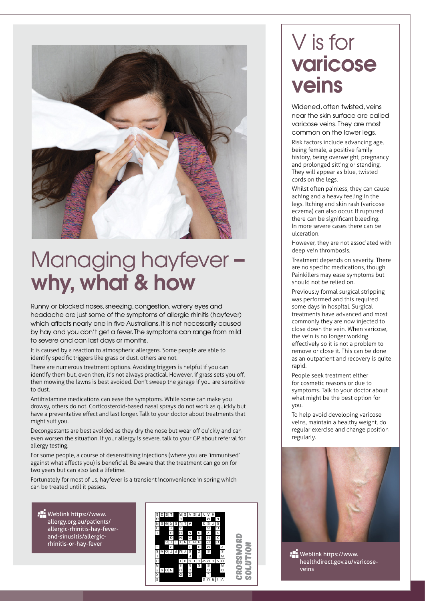

# Managing hayfever – why, what & how

Runny or blocked noses, sneezing, congestion, watery eyes and headache are just some of the symptoms of allergic rhinitis (hayfever) which affects nearly one in five Australians. It is not necessarily caused by hay and you don't get a fever. The symptoms can range from mild to severe and can last days or months.

It is caused by a reaction to atmospheric allergens. Some people are able to identify specific triggers like grass or dust, others are not.

There are numerous treatment options. Avoiding triggers is helpful if you can identify them but, even then, it's not always practical. However, if grass sets you off, then mowing the lawns is best avoided. Don't sweep the garage if you are sensitive to dust.

Antihistamine medications can ease the symptoms. While some can make you drowsy, others do not. Corticosteroid-based nasal sprays do not work as quickly but have a preventative effect and last longer. Talk to your doctor about treatments that might suit you.

Decongestants are best avoided as they dry the nose but wear off quickly and can even worsen the situation. If your allergy is severe, talk to your GP about referral for allergy testing.

For some people, a course of desensitising injections (where you are 'immunised' against what affects you) is beneficial. Be aware that the treatment can go on for two years but can also last a lifetime.

Fortunately for most of us, hayfever is a transient inconvenience in spring which can be treated until it passes.

**Weblink https://www.** allergy.org.au/patients/ allergic-rhinitis-hay-feverand-sinusitis/allergicrhinitis-or-hay-fever



# V is for varicose veins

Widened, often twisted, veins near the skin surface are called varicose veins. They are most common on the lower legs.

Risk factors include advancing age, being female, a positive family history, being overweight, pregnancy and prolonged sitting or standing. They will appear as blue, twisted cords on the legs.

Whilst often painless, they can cause aching and a heavy feeling in the legs. Itching and skin rash (varicose eczema) can also occur. If ruptured there can be significant bleeding. In more severe cases there can be ulceration.

However, they are not associated with deep vein thrombosis.

Treatment depends on severity. There are no specific medications, though Painkillers may ease symptoms but should not be relied on.

Previously formal surgical stripping was performed and this required some days in hospital. Surgical treatments have advanced and most commonly they are now injected to close down the vein. When varicose, the vein is no longer working effectively so it is not a problem to remove or close it. This can be done as an outpatient and recovery is quite rapid.

People seek treatment either for cosmetic reasons or due to symptoms. Talk to your doctor about what might be the best option for you.

To help avoid developing varicose veins, maintain a healthy weight, do regular exercise and change position regularly.



**PE** Weblink https://www. healthdirect.gov.au/varicoseveins